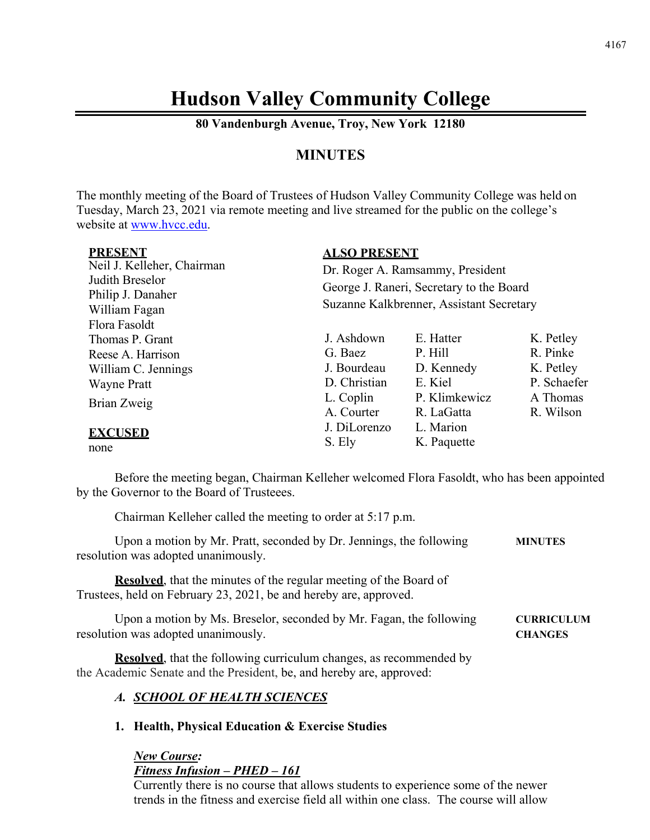# **Hudson Valley Community College**

**80 Vandenburgh Avenue, Troy, New York 12180**

# **MINUTES**

The monthly meeting of the Board of Trustees of Hudson Valley Community College was held on Tuesday, March 23, 2021 via remote meeting and live streamed for the public on the college's website at [www.hvcc.edu.](http://www.hvcc.edu/)

**ALSO PRESENT**

| -----------                                                                         | <u>INDO I INDOLITI</u>                                                                                                   |               |             |
|-------------------------------------------------------------------------------------|--------------------------------------------------------------------------------------------------------------------------|---------------|-------------|
| Neil J. Kelleher, Chairman<br>Judith Breselor<br>Philip J. Danaher<br>William Fagan | Dr. Roger A. Ramsammy, President<br>George J. Raneri, Secretary to the Board<br>Suzanne Kalkbrenner, Assistant Secretary |               |             |
| Flora Fasoldt                                                                       | J. Ashdown                                                                                                               | E. Hatter     |             |
| Thomas P. Grant                                                                     |                                                                                                                          |               | K. Petley   |
| Reese A. Harrison                                                                   | G. Baez                                                                                                                  | P. Hill       | R. Pinke    |
| William C. Jennings                                                                 | J. Bourdeau                                                                                                              | D. Kennedy    | K. Petley   |
| <b>Wayne Pratt</b>                                                                  | D. Christian                                                                                                             | E. Kiel       | P. Schaefer |
| Brian Zweig                                                                         | L. Coplin                                                                                                                | P. Klimkewicz | A Thomas    |
|                                                                                     | A. Courter                                                                                                               | R. LaGatta    | R. Wilson   |
| <b>EXCUSED</b>                                                                      | J. DiLorenzo                                                                                                             | L. Marion     |             |
|                                                                                     | S. Ely                                                                                                                   | K. Paquette   |             |
| none                                                                                |                                                                                                                          |               |             |

Before the meeting began, Chairman Kelleher welcomed Flora Fasoldt, who has been appointed by the Governor to the Board of Trusteees.

Chairman Kelleher called the meeting to order at 5:17 p.m.

| Upon a motion by Mr. Pratt, seconded by Dr. Jennings, the following | <b>MINUTES</b> |
|---------------------------------------------------------------------|----------------|
| resolution was adopted unanimously.                                 |                |

**Resolved**, that the minutes of the regular meeting of the Board of Trustees, held on February 23, 2021, be and hereby are, approved.

Upon a motion by Ms. Breselor, seconded by Mr. Fagan, the following **CURRICULUM** resolution was adopted unanimously. **CHANGES**

**Resolved**, that the following curriculum changes, as recommended by the Academic Senate and the President, be, and hereby are, approved:

### *A. SCHOOL OF HEALTH SCIENCES*

**1. Health, Physical Education & Exercise Studies**

*New Course: Fitness Infusion – PHED – 161*

Currently there is no course that allows students to experience some of the newer trends in the fitness and exercise field all within one class. The course will allow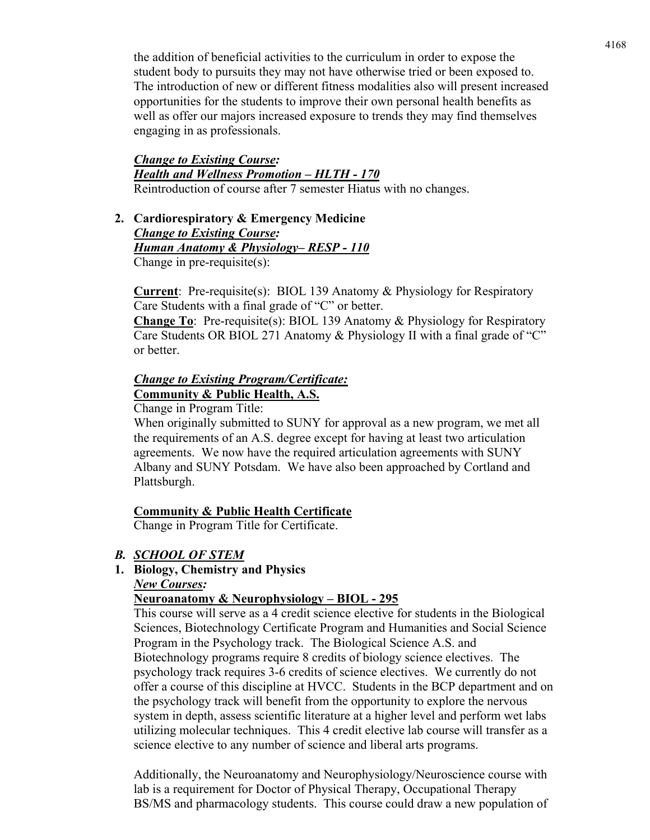the addition of beneficial activities to the curriculum in order to expose the student body to pursuits they may not have otherwise tried or been exposed to. The introduction of new or different fitness modalities also will present increased opportunities for the students to improve their own personal health benefits as well as offer our majors increased exposure to trends they may find themselves engaging in as professionals.

### *Change to Existing Course: Health and Wellness Promotion – HLTH - 170* Reintroduction of course after 7 semester Hiatus with no changes.

**2. Cardiorespiratory & Emergency Medicine**  *Change to Existing Course: Human Anatomy & Physiology– RESP - 110* Change in pre-requisite(s):

**Current:** Pre-requisite(s): BIOL 139 Anatomy & Physiology for Respiratory Care Students with a final grade of "C" or better.

**Change To**: Pre-requisite(s): BIOL 139 Anatomy & Physiology for Respiratory Care Students OR BIOL 271 Anatomy & Physiology II with a final grade of "C" or better.

# *Change to Existing Program/Certificate:* **Community & Public Health, A.S.**

Change in Program Title:

When originally submitted to SUNY for approval as a new program, we met all the requirements of an A.S. degree except for having at least two articulation agreements. We now have the required articulation agreements with SUNY Albany and SUNY Potsdam. We have also been approached by Cortland and Plattsburgh.

# **Community & Public Health Certificate**

Change in Program Title for Certificate.

### *B. SCHOOL OF STEM*

### **1. Biology, Chemistry and Physics**

### *New Courses:*

### **Neuroanatomy & Neurophysiology – BIOL - 295**

This course will serve as a 4 credit science elective for students in the Biological Sciences, Biotechnology Certificate Program and Humanities and Social Science Program in the Psychology track. The Biological Science A.S. and Biotechnology programs require 8 credits of biology science electives. The psychology track requires 3-6 credits of science electives. We currently do not offer a course of this discipline at HVCC. Students in the BCP department and on the psychology track will benefit from the opportunity to explore the nervous system in depth, assess scientific literature at a higher level and perform wet labs utilizing molecular techniques. This 4 credit elective lab course will transfer as a science elective to any number of science and liberal arts programs.

Additionally, the Neuroanatomy and Neurophysiology/Neuroscience course with lab is a requirement for Doctor of Physical Therapy, Occupational Therapy BS/MS and pharmacology students. This course could draw a new population of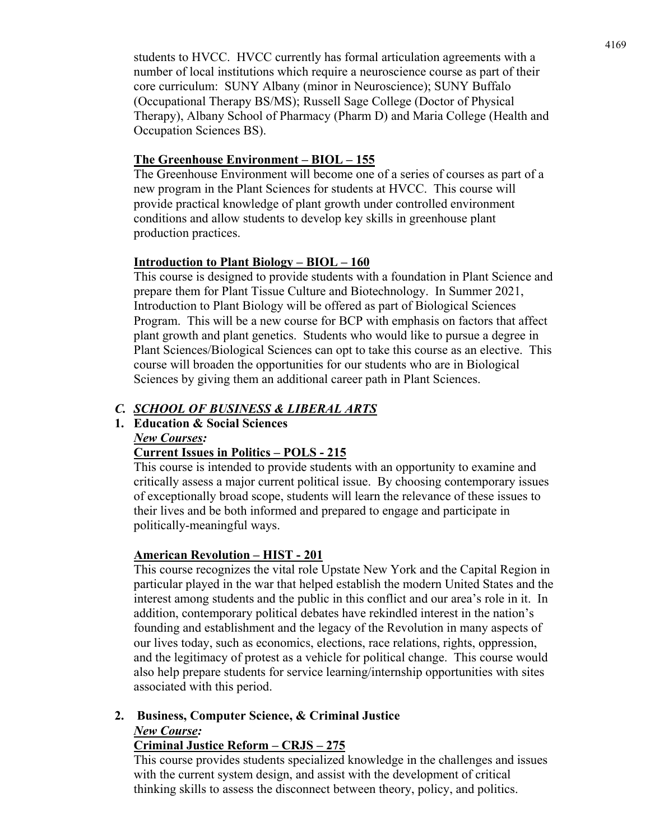students to HVCC. HVCC currently has formal articulation agreements with a number of local institutions which require a neuroscience course as part of their core curriculum: SUNY Albany (minor in Neuroscience); SUNY Buffalo (Occupational Therapy BS/MS); Russell Sage College (Doctor of Physical Therapy), Albany School of Pharmacy (Pharm D) and Maria College (Health and Occupation Sciences BS).

### **The Greenhouse Environment – BIOL – 155**

The Greenhouse Environment will become one of a series of courses as part of a new program in the Plant Sciences for students at HVCC. This course will provide practical knowledge of plant growth under controlled environment conditions and allow students to develop key skills in greenhouse plant production practices.

### **Introduction to Plant Biology – BIOL – 160**

This course is designed to provide students with a foundation in Plant Science and prepare them for Plant Tissue Culture and Biotechnology. In Summer 2021, Introduction to Plant Biology will be offered as part of Biological Sciences Program. This will be a new course for BCP with emphasis on factors that affect plant growth and plant genetics. Students who would like to pursue a degree in Plant Sciences/Biological Sciences can opt to take this course as an elective. This course will broaden the opportunities for our students who are in Biological Sciences by giving them an additional career path in Plant Sciences.

### *C. SCHOOL OF BUSINESS & LIBERAL ARTS*

# **1. Education & Social Sciences**

### *New Courses:*

### **Current Issues in Politics – POLS - 215**

This course is intended to provide students with an opportunity to examine and critically assess a major current political issue. By choosing contemporary issues of exceptionally broad scope, students will learn the relevance of these issues to their lives and be both informed and prepared to engage and participate in politically-meaningful ways.

### **American Revolution – HIST - 201**

This course recognizes the vital role Upstate New York and the Capital Region in particular played in the war that helped establish the modern United States and the interest among students and the public in this conflict and our area's role in it. In addition, contemporary political debates have rekindled interest in the nation's founding and establishment and the legacy of the Revolution in many aspects of our lives today, such as economics, elections, race relations, rights, oppression, and the legitimacy of protest as a vehicle for political change. This course would also help prepare students for service learning/internship opportunities with sites associated with this period.

# **2. Business, Computer Science, & Criminal Justice**  *New Course:*

### **Criminal Justice Reform – CRJS – 275**

This course provides students specialized knowledge in the challenges and issues with the current system design, and assist with the development of critical thinking skills to assess the disconnect between theory, policy, and politics.